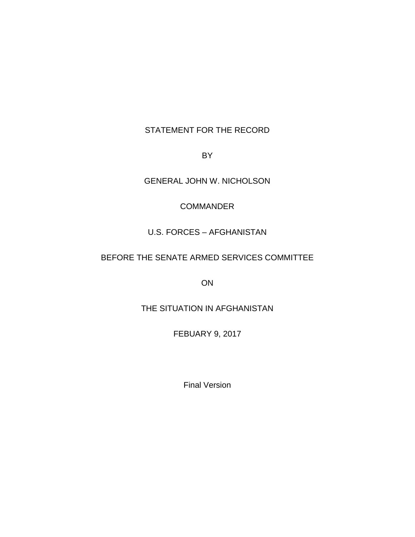# STATEMENT FOR THE RECORD

BY

GENERAL JOHN W. NICHOLSON

## **COMMANDER**

## U.S. FORCES – AFGHANISTAN

## BEFORE THE SENATE ARMED SERVICES COMMITTEE

ON

## THE SITUATION IN AFGHANISTAN

FEBUARY 9, 2017

Final Version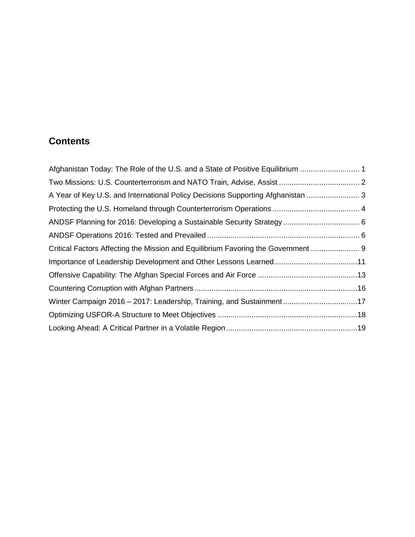# **Contents**

| Afghanistan Today: The Role of the U.S. and a State of Positive Equilibrium       |
|-----------------------------------------------------------------------------------|
|                                                                                   |
| A Year of Key U.S. and International Policy Decisions Supporting Afghanistan  3   |
|                                                                                   |
|                                                                                   |
|                                                                                   |
| Critical Factors Affecting the Mission and Equilibrium Favoring the Government  9 |
|                                                                                   |
|                                                                                   |
|                                                                                   |
| Winter Campaign 2016 - 2017: Leadership, Training, and Sustainment17              |
|                                                                                   |
|                                                                                   |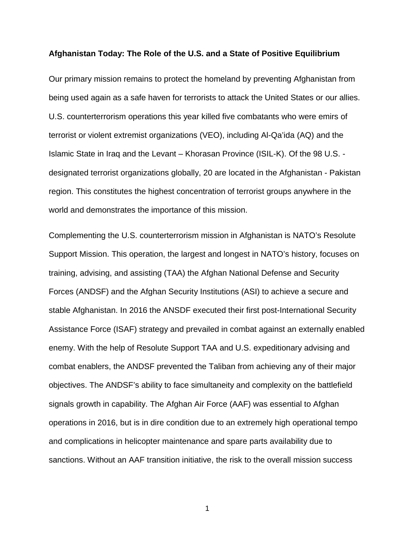#### <span id="page-2-0"></span>**Afghanistan Today: The Role of the U.S. and a State of Positive Equilibrium**

Our primary mission remains to protect the homeland by preventing Afghanistan from being used again as a safe haven for terrorists to attack the United States or our allies. U.S. counterterrorism operations this year killed five combatants who were emirs of terrorist or violent extremist organizations (VEO), including Al-Qa'ida (AQ) and the Islamic State in Iraq and the Levant – Khorasan Province (ISIL-K). Of the 98 U.S. designated terrorist organizations globally, 20 are located in the Afghanistan - Pakistan region. This constitutes the highest concentration of terrorist groups anywhere in the world and demonstrates the importance of this mission.

Complementing the U.S. counterterrorism mission in Afghanistan is NATO's Resolute Support Mission. This operation, the largest and longest in NATO's history, focuses on training, advising, and assisting (TAA) the Afghan National Defense and Security Forces (ANDSF) and the Afghan Security Institutions (ASI) to achieve a secure and stable Afghanistan. In 2016 the ANSDF executed their first post-International Security Assistance Force (ISAF) strategy and prevailed in combat against an externally enabled enemy. With the help of Resolute Support TAA and U.S. expeditionary advising and combat enablers, the ANDSF prevented the Taliban from achieving any of their major objectives. The ANDSF's ability to face simultaneity and complexity on the battlefield signals growth in capability. The Afghan Air Force (AAF) was essential to Afghan operations in 2016, but is in dire condition due to an extremely high operational tempo and complications in helicopter maintenance and spare parts availability due to sanctions. Without an AAF transition initiative, the risk to the overall mission success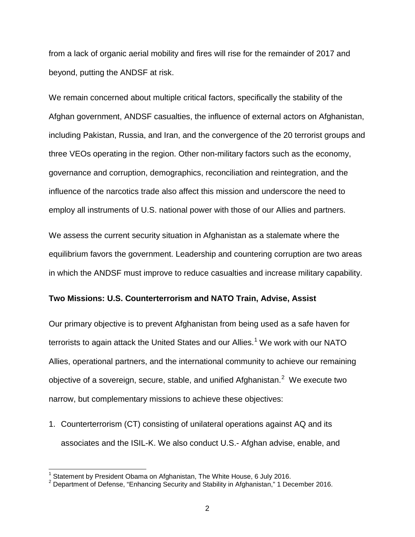from a lack of organic aerial mobility and fires will rise for the remainder of 2017 and beyond, putting the ANDSF at risk.

We remain concerned about multiple critical factors, specifically the stability of the Afghan government, ANDSF casualties, the influence of external actors on Afghanistan, including Pakistan, Russia, and Iran, and the convergence of the 20 terrorist groups and three VEOs operating in the region. Other non-military factors such as the economy, governance and corruption, demographics, reconciliation and reintegration, and the influence of the narcotics trade also affect this mission and underscore the need to employ all instruments of U.S. national power with those of our Allies and partners.

We assess the current security situation in Afghanistan as a stalemate where the equilibrium favors the government. Leadership and countering corruption are two areas in which the ANDSF must improve to reduce casualties and increase military capability.

#### <span id="page-3-0"></span>**Two Missions: U.S. Counterterrorism and NATO Train, Advise, Assist**

Our primary objective is to prevent Afghanistan from being used as a safe haven for terrorists to again attack the United States and our Allies.<sup>[1](#page-3-1)</sup> We work with our NATO Allies, operational partners, and the international community to achieve our remaining objective of a sovereign, secure, stable, and unified Afghanistan.<sup>[2](#page-3-2)</sup> We execute two narrow, but complementary missions to achieve these objectives:

1. Counterterrorism (CT) consisting of unilateral operations against AQ and its associates and the ISIL-K. We also conduct U.S.- Afghan advise, enable, and

<span id="page-3-2"></span><span id="page-3-1"></span><sup>&</sup>lt;sup>1</sup> Statement by President Obama on Afghanistan, The White House, 6 July 2016.<br><sup>2</sup> Department of Defense, "Enhancing Security and Stability in Afghanistan," 1 December 2016.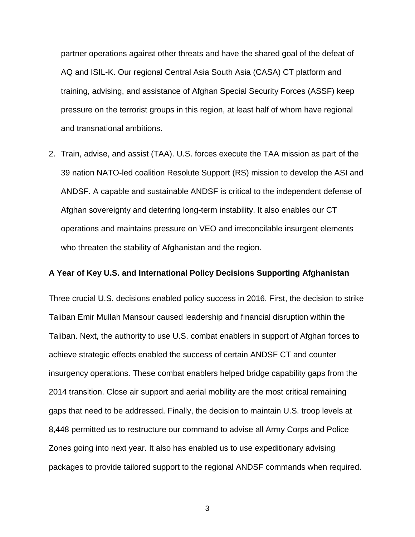partner operations against other threats and have the shared goal of the defeat of AQ and ISIL-K. Our regional Central Asia South Asia (CASA) CT platform and training, advising, and assistance of Afghan Special Security Forces (ASSF) keep pressure on the terrorist groups in this region, at least half of whom have regional and transnational ambitions.

2. Train, advise, and assist (TAA). U.S. forces execute the TAA mission as part of the 39 nation NATO-led coalition Resolute Support (RS) mission to develop the ASI and ANDSF. A capable and sustainable ANDSF is critical to the independent defense of Afghan sovereignty and deterring long-term instability. It also enables our CT operations and maintains pressure on VEO and irreconcilable insurgent elements who threaten the stability of Afghanistan and the region.

#### <span id="page-4-0"></span>**A Year of Key U.S. and International Policy Decisions Supporting Afghanistan**

Three crucial U.S. decisions enabled policy success in 2016. First, the decision to strike Taliban Emir Mullah Mansour caused leadership and financial disruption within the Taliban. Next, the authority to use U.S. combat enablers in support of Afghan forces to achieve strategic effects enabled the success of certain ANDSF CT and counter insurgency operations. These combat enablers helped bridge capability gaps from the 2014 transition. Close air support and aerial mobility are the most critical remaining gaps that need to be addressed. Finally, the decision to maintain U.S. troop levels at 8,448 permitted us to restructure our command to advise all Army Corps and Police Zones going into next year. It also has enabled us to use expeditionary advising packages to provide tailored support to the regional ANDSF commands when required.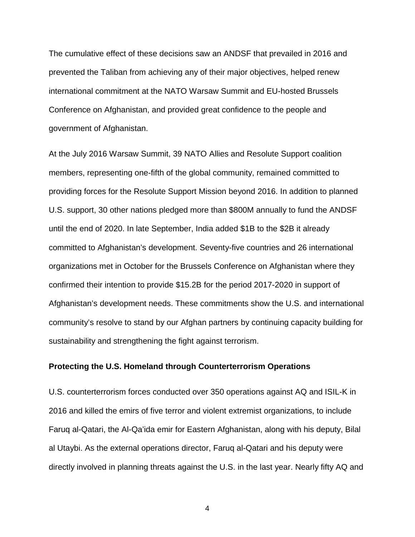The cumulative effect of these decisions saw an ANDSF that prevailed in 2016 and prevented the Taliban from achieving any of their major objectives, helped renew international commitment at the NATO Warsaw Summit and EU-hosted Brussels Conference on Afghanistan, and provided great confidence to the people and government of Afghanistan.

At the July 2016 Warsaw Summit, 39 NATO Allies and Resolute Support coalition members, representing one-fifth of the global community, remained committed to providing forces for the Resolute Support Mission beyond 2016. In addition to planned U.S. support, 30 other nations pledged more than \$800M annually to fund the ANDSF until the end of 2020. In late September, India added \$1B to the \$2B it already committed to Afghanistan's development. Seventy-five countries and 26 international organizations met in October for the Brussels Conference on Afghanistan where they confirmed their intention to provide \$15.2B for the period 2017-2020 in support of Afghanistan's development needs. These commitments show the U.S. and international community's resolve to stand by our Afghan partners by continuing capacity building for sustainability and strengthening the fight against terrorism.

## <span id="page-5-0"></span>**Protecting the U.S. Homeland through Counterterrorism Operations**

U.S. counterterrorism forces conducted over 350 operations against AQ and ISIL-K in 2016 and killed the emirs of five terror and violent extremist organizations, to include Faruq al-Qatari, the Al-Qa'ida emir for Eastern Afghanistan, along with his deputy, Bilal al Utaybi. As the external operations director, Faruq al-Qatari and his deputy were directly involved in planning threats against the U.S. in the last year. Nearly fifty AQ and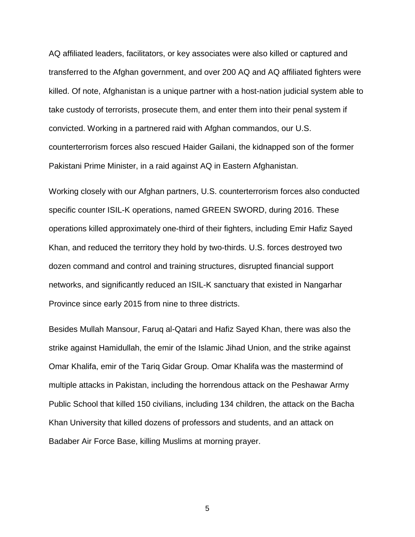AQ affiliated leaders, facilitators, or key associates were also killed or captured and transferred to the Afghan government, and over 200 AQ and AQ affiliated fighters were killed. Of note, Afghanistan is a unique partner with a host-nation judicial system able to take custody of terrorists, prosecute them, and enter them into their penal system if convicted. Working in a partnered raid with Afghan commandos, our U.S. counterterrorism forces also rescued Haider Gailani, the kidnapped son of the former Pakistani Prime Minister, in a raid against AQ in Eastern Afghanistan.

Working closely with our Afghan partners, U.S. counterterrorism forces also conducted specific counter ISIL-K operations, named GREEN SWORD, during 2016. These operations killed approximately one-third of their fighters, including Emir Hafiz Sayed Khan, and reduced the territory they hold by two-thirds. U.S. forces destroyed two dozen command and control and training structures, disrupted financial support networks, and significantly reduced an ISIL-K sanctuary that existed in Nangarhar Province since early 2015 from nine to three districts.

Besides Mullah Mansour, Faruq al-Qatari and Hafiz Sayed Khan, there was also the strike against Hamidullah, the emir of the Islamic Jihad Union, and the strike against Omar Khalifa, emir of the Tariq Gidar Group. Omar Khalifa was the mastermind of multiple attacks in Pakistan, including the horrendous attack on the Peshawar Army Public School that killed 150 civilians, including 134 children, the attack on the Bacha Khan University that killed dozens of professors and students, and an attack on Badaber Air Force Base, killing Muslims at morning prayer.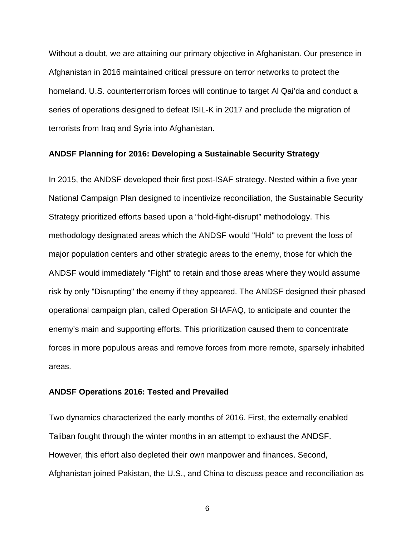Without a doubt, we are attaining our primary objective in Afghanistan. Our presence in Afghanistan in 2016 maintained critical pressure on terror networks to protect the homeland. U.S. counterterrorism forces will continue to target Al Qai'da and conduct a series of operations designed to defeat ISIL-K in 2017 and preclude the migration of terrorists from Iraq and Syria into Afghanistan.

#### <span id="page-7-0"></span>**ANDSF Planning for 2016: Developing a Sustainable Security Strategy**

In 2015, the ANDSF developed their first post-ISAF strategy. Nested within a five year National Campaign Plan designed to incentivize reconciliation, the Sustainable Security Strategy prioritized efforts based upon a "hold-fight-disrupt" methodology. This methodology designated areas which the ANDSF would "Hold" to prevent the loss of major population centers and other strategic areas to the enemy, those for which the ANDSF would immediately "Fight" to retain and those areas where they would assume risk by only "Disrupting" the enemy if they appeared. The ANDSF designed their phased operational campaign plan, called Operation SHAFAQ, to anticipate and counter the enemy's main and supporting efforts. This prioritization caused them to concentrate forces in more populous areas and remove forces from more remote, sparsely inhabited areas.

#### <span id="page-7-1"></span>**ANDSF Operations 2016: Tested and Prevailed**

Two dynamics characterized the early months of 2016. First, the externally enabled Taliban fought through the winter months in an attempt to exhaust the ANDSF. However, this effort also depleted their own manpower and finances. Second, Afghanistan joined Pakistan, the U.S., and China to discuss peace and reconciliation as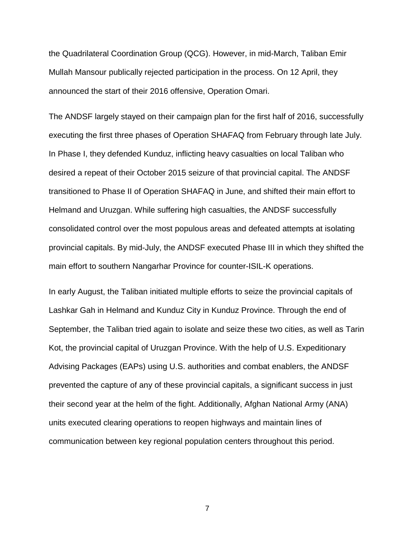the Quadrilateral Coordination Group (QCG). However, in mid-March, Taliban Emir Mullah Mansour publically rejected participation in the process. On 12 April, they announced the start of their 2016 offensive, Operation Omari.

The ANDSF largely stayed on their campaign plan for the first half of 2016, successfully executing the first three phases of Operation SHAFAQ from February through late July. In Phase I, they defended Kunduz, inflicting heavy casualties on local Taliban who desired a repeat of their October 2015 seizure of that provincial capital. The ANDSF transitioned to Phase II of Operation SHAFAQ in June, and shifted their main effort to Helmand and Uruzgan. While suffering high casualties, the ANDSF successfully consolidated control over the most populous areas and defeated attempts at isolating provincial capitals. By mid-July, the ANDSF executed Phase III in which they shifted the main effort to southern Nangarhar Province for counter-ISIL-K operations.

In early August, the Taliban initiated multiple efforts to seize the provincial capitals of Lashkar Gah in Helmand and Kunduz City in Kunduz Province. Through the end of September, the Taliban tried again to isolate and seize these two cities, as well as Tarin Kot, the provincial capital of Uruzgan Province. With the help of U.S. Expeditionary Advising Packages (EAPs) using U.S. authorities and combat enablers, the ANDSF prevented the capture of any of these provincial capitals, a significant success in just their second year at the helm of the fight. Additionally, Afghan National Army (ANA) units executed clearing operations to reopen highways and maintain lines of communication between key regional population centers throughout this period.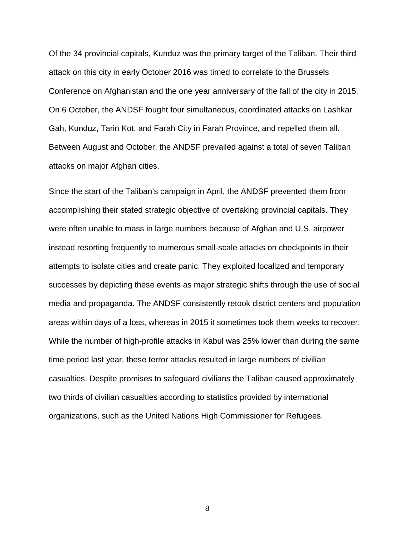Of the 34 provincial capitals, Kunduz was the primary target of the Taliban. Their third attack on this city in early October 2016 was timed to correlate to the Brussels Conference on Afghanistan and the one year anniversary of the fall of the city in 2015. On 6 October, the ANDSF fought four simultaneous, coordinated attacks on Lashkar Gah, Kunduz, Tarin Kot, and Farah City in Farah Province, and repelled them all. Between August and October, the ANDSF prevailed against a total of seven Taliban attacks on major Afghan cities.

<span id="page-9-0"></span>Since the start of the Taliban's campaign in April, the ANDSF prevented them from accomplishing their stated strategic objective of overtaking provincial capitals. They were often unable to mass in large numbers because of Afghan and U.S. airpower instead resorting frequently to numerous small-scale attacks on checkpoints in their attempts to isolate cities and create panic. They exploited localized and temporary successes by depicting these events as major strategic shifts through the use of social media and propaganda. The ANDSF consistently retook district centers and population areas within days of a loss, whereas in 2015 it sometimes took them weeks to recover. While the number of high-profile attacks in Kabul was 25% lower than during the same time period last year, these terror attacks resulted in large numbers of civilian casualties. Despite promises to safeguard civilians the Taliban caused approximately two thirds of civilian casualties according to statistics provided by international organizations, such as the United Nations High Commissioner for Refugees.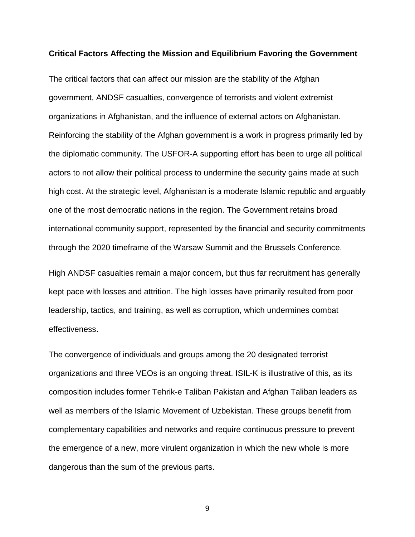#### **Critical Factors Affecting the Mission and Equilibrium Favoring the Government**

The critical factors that can affect our mission are the stability of the Afghan government, ANDSF casualties, convergence of terrorists and violent extremist organizations in Afghanistan, and the influence of external actors on Afghanistan. Reinforcing the stability of the Afghan government is a work in progress primarily led by the diplomatic community. The USFOR-A supporting effort has been to urge all political actors to not allow their political process to undermine the security gains made at such high cost. At the strategic level, Afghanistan is a moderate Islamic republic and arguably one of the most democratic nations in the region. The Government retains broad international community support, represented by the financial and security commitments through the 2020 timeframe of the Warsaw Summit and the Brussels Conference.

High ANDSF casualties remain a major concern, but thus far recruitment has generally kept pace with losses and attrition. The high losses have primarily resulted from poor leadership, tactics, and training, as well as corruption, which undermines combat effectiveness.

The convergence of individuals and groups among the 20 designated terrorist organizations and three VEOs is an ongoing threat. ISIL-K is illustrative of this, as its composition includes former Tehrik-e Taliban Pakistan and Afghan Taliban leaders as well as members of the Islamic Movement of Uzbekistan. These groups benefit from complementary capabilities and networks and require continuous pressure to prevent the emergence of a new, more virulent organization in which the new whole is more dangerous than the sum of the previous parts.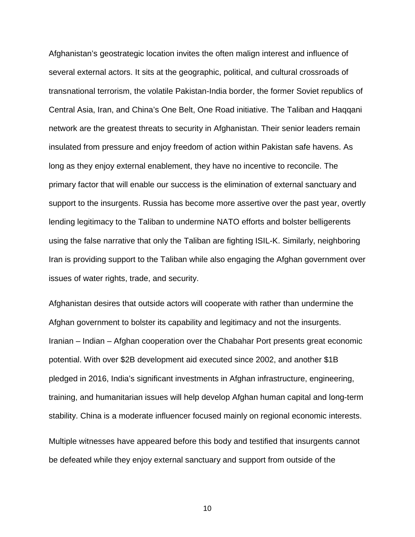Afghanistan's geostrategic location invites the often malign interest and influence of several external actors. It sits at the geographic, political, and cultural crossroads of transnational terrorism, the volatile Pakistan-India border, the former Soviet republics of Central Asia, Iran, and China's One Belt, One Road initiative. The Taliban and Haqqani network are the greatest threats to security in Afghanistan. Their senior leaders remain insulated from pressure and enjoy freedom of action within Pakistan safe havens. As long as they enjoy external enablement, they have no incentive to reconcile. The primary factor that will enable our success is the elimination of external sanctuary and support to the insurgents. Russia has become more assertive over the past year, overtly lending legitimacy to the Taliban to undermine NATO efforts and bolster belligerents using the false narrative that only the Taliban are fighting ISIL-K. Similarly, neighboring Iran is providing support to the Taliban while also engaging the Afghan government over issues of water rights, trade, and security.

Afghanistan desires that outside actors will cooperate with rather than undermine the Afghan government to bolster its capability and legitimacy and not the insurgents. Iranian – Indian – Afghan cooperation over the Chabahar Port presents great economic potential. With over \$2B development aid executed since 2002, and another \$1B pledged in 2016, India's significant investments in Afghan infrastructure, engineering, training, and humanitarian issues will help develop Afghan human capital and long-term stability. China is a moderate influencer focused mainly on regional economic interests.

Multiple witnesses have appeared before this body and testified that insurgents cannot be defeated while they enjoy external sanctuary and support from outside of the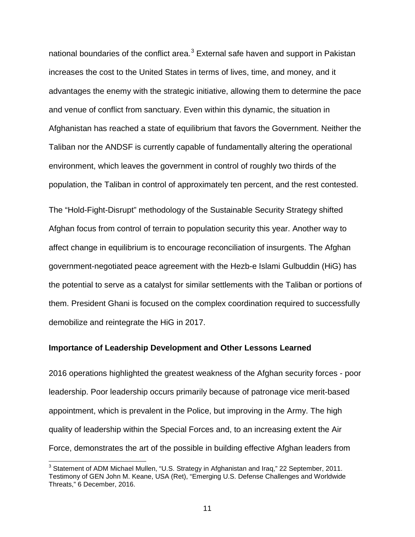national boundaries of the conflict area. $3$  External safe haven and support in Pakistan increases the cost to the United States in terms of lives, time, and money, and it advantages the enemy with the strategic initiative, allowing them to determine the pace and venue of conflict from sanctuary. Even within this dynamic, the situation in Afghanistan has reached a state of equilibrium that favors the Government. Neither the Taliban nor the ANDSF is currently capable of fundamentally altering the operational environment, which leaves the government in control of roughly two thirds of the population, the Taliban in control of approximately ten percent, and the rest contested.

The "Hold-Fight-Disrupt" methodology of the Sustainable Security Strategy shifted Afghan focus from control of terrain to population security this year. Another way to affect change in equilibrium is to encourage reconciliation of insurgents. The Afghan government-negotiated peace agreement with the Hezb-e Islami Gulbuddin (HiG) has the potential to serve as a catalyst for similar settlements with the Taliban or portions of them. President Ghani is focused on the complex coordination required to successfully demobilize and reintegrate the HiG in 2017.

#### <span id="page-12-0"></span>**Importance of Leadership Development and Other Lessons Learned**

2016 operations highlighted the greatest weakness of the Afghan security forces - poor leadership. Poor leadership occurs primarily because of patronage vice merit-based appointment, which is prevalent in the Police, but improving in the Army. The high quality of leadership within the Special Forces and, to an increasing extent the Air Force, demonstrates the art of the possible in building effective Afghan leaders from

<span id="page-12-1"></span> $3$  Statement of ADM Michael Mullen, "U.S. Strategy in Afghanistan and Irag," 22 September, 2011. Testimony of GEN John M. Keane, USA (Ret), "Emerging U.S. Defense Challenges and Worldwide Threats," 6 December, 2016.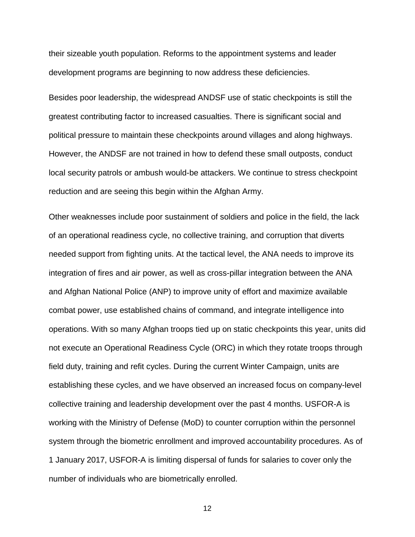their sizeable youth population. Reforms to the appointment systems and leader development programs are beginning to now address these deficiencies.

Besides poor leadership, the widespread ANDSF use of static checkpoints is still the greatest contributing factor to increased casualties. There is significant social and political pressure to maintain these checkpoints around villages and along highways. However, the ANDSF are not trained in how to defend these small outposts, conduct local security patrols or ambush would-be attackers. We continue to stress checkpoint reduction and are seeing this begin within the Afghan Army.

Other weaknesses include poor sustainment of soldiers and police in the field, the lack of an operational readiness cycle, no collective training, and corruption that diverts needed support from fighting units. At the tactical level, the ANA needs to improve its integration of fires and air power, as well as cross-pillar integration between the ANA and Afghan National Police (ANP) to improve unity of effort and maximize available combat power, use established chains of command, and integrate intelligence into operations. With so many Afghan troops tied up on static checkpoints this year, units did not execute an Operational Readiness Cycle (ORC) in which they rotate troops through field duty, training and refit cycles. During the current Winter Campaign, units are establishing these cycles, and we have observed an increased focus on company-level collective training and leadership development over the past 4 months. USFOR-A is working with the Ministry of Defense (MoD) to counter corruption within the personnel system through the biometric enrollment and improved accountability procedures. As of 1 January 2017, USFOR-A is limiting dispersal of funds for salaries to cover only the number of individuals who are biometrically enrolled.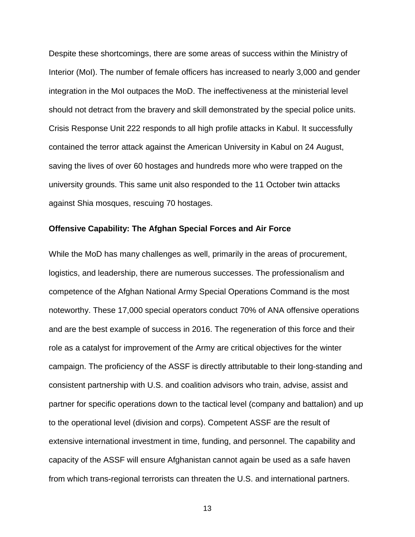Despite these shortcomings, there are some areas of success within the Ministry of Interior (MoI). The number of female officers has increased to nearly 3,000 and gender integration in the MoI outpaces the MoD. The ineffectiveness at the ministerial level should not detract from the bravery and skill demonstrated by the special police units. Crisis Response Unit 222 responds to all high profile attacks in Kabul. It successfully contained the terror attack against the American University in Kabul on 24 August, saving the lives of over 60 hostages and hundreds more who were trapped on the university grounds. This same unit also responded to the 11 October twin attacks against Shia mosques, rescuing 70 hostages.

#### <span id="page-14-0"></span>**Offensive Capability: The Afghan Special Forces and Air Force**

While the MoD has many challenges as well, primarily in the areas of procurement, logistics, and leadership, there are numerous successes. The professionalism and competence of the Afghan National Army Special Operations Command is the most noteworthy. These 17,000 special operators conduct 70% of ANA offensive operations and are the best example of success in 2016. The regeneration of this force and their role as a catalyst for improvement of the Army are critical objectives for the winter campaign. The proficiency of the ASSF is directly attributable to their long-standing and consistent partnership with U.S. and coalition advisors who train, advise, assist and partner for specific operations down to the tactical level (company and battalion) and up to the operational level (division and corps). Competent ASSF are the result of extensive international investment in time, funding, and personnel. The capability and capacity of the ASSF will ensure Afghanistan cannot again be used as a safe haven from which trans-regional terrorists can threaten the U.S. and international partners.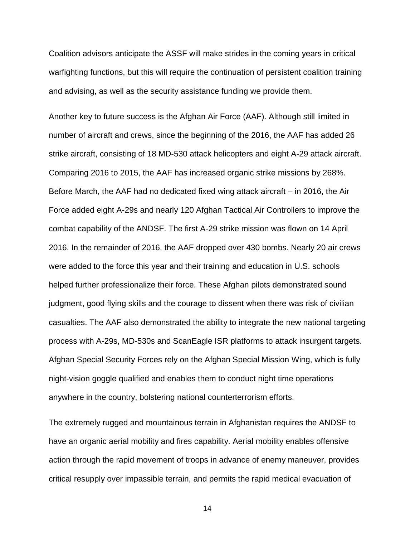Coalition advisors anticipate the ASSF will make strides in the coming years in critical warfighting functions, but this will require the continuation of persistent coalition training and advising, as well as the security assistance funding we provide them.

Another key to future success is the Afghan Air Force (AAF). Although still limited in number of aircraft and crews, since the beginning of the 2016, the AAF has added 26 strike aircraft, consisting of 18 MD-530 attack helicopters and eight A-29 attack aircraft. Comparing 2016 to 2015, the AAF has increased organic strike missions by 268%. Before March, the AAF had no dedicated fixed wing attack aircraft – in 2016, the Air Force added eight A-29s and nearly 120 Afghan Tactical Air Controllers to improve the combat capability of the ANDSF. The first A-29 strike mission was flown on 14 April 2016. In the remainder of 2016, the AAF dropped over 430 bombs. Nearly 20 air crews were added to the force this year and their training and education in U.S. schools helped further professionalize their force. These Afghan pilots demonstrated sound judgment, good flying skills and the courage to dissent when there was risk of civilian casualties. The AAF also demonstrated the ability to integrate the new national targeting process with A-29s, MD-530s and ScanEagle ISR platforms to attack insurgent targets. Afghan Special Security Forces rely on the Afghan Special Mission Wing, which is fully night-vision goggle qualified and enables them to conduct night time operations anywhere in the country, bolstering national counterterrorism efforts.

The extremely rugged and mountainous terrain in Afghanistan requires the ANDSF to have an organic aerial mobility and fires capability. Aerial mobility enables offensive action through the rapid movement of troops in advance of enemy maneuver, provides critical resupply over impassible terrain, and permits the rapid medical evacuation of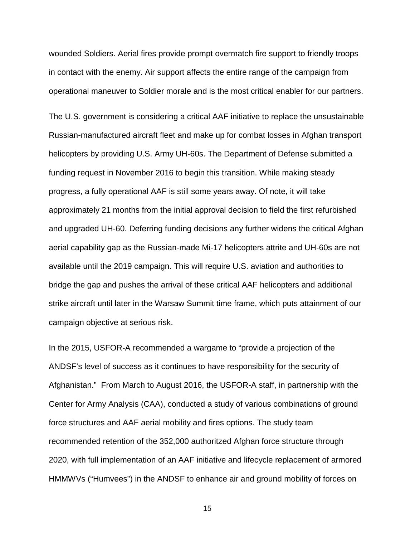wounded Soldiers. Aerial fires provide prompt overmatch fire support to friendly troops in contact with the enemy. Air support affects the entire range of the campaign from operational maneuver to Soldier morale and is the most critical enabler for our partners.

The U.S. government is considering a critical AAF initiative to replace the unsustainable Russian-manufactured aircraft fleet and make up for combat losses in Afghan transport helicopters by providing U.S. Army UH-60s. The Department of Defense submitted a funding request in November 2016 to begin this transition. While making steady progress, a fully operational AAF is still some years away. Of note, it will take approximately 21 months from the initial approval decision to field the first refurbished and upgraded UH-60. Deferring funding decisions any further widens the critical Afghan aerial capability gap as the Russian-made Mi-17 helicopters attrite and UH-60s are not available until the 2019 campaign. This will require U.S. aviation and authorities to bridge the gap and pushes the arrival of these critical AAF helicopters and additional strike aircraft until later in the Warsaw Summit time frame, which puts attainment of our campaign objective at serious risk.

In the 2015, USFOR-A recommended a wargame to "provide a projection of the ANDSF's level of success as it continues to have responsibility for the security of Afghanistan." From March to August 2016, the USFOR-A staff, in partnership with the Center for Army Analysis (CAA), conducted a study of various combinations of ground force structures and AAF aerial mobility and fires options. The study team recommended retention of the 352,000 authoritzed Afghan force structure through 2020, with full implementation of an AAF initiative and lifecycle replacement of armored HMMWVs ("Humvees") in the ANDSF to enhance air and ground mobility of forces on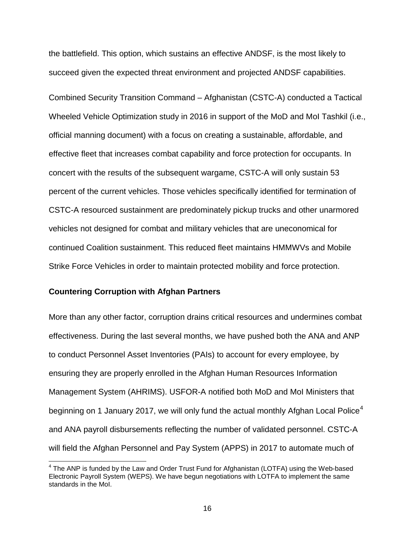the battlefield. This option, which sustains an effective ANDSF, is the most likely to succeed given the expected threat environment and projected ANDSF capabilities.

Combined Security Transition Command – Afghanistan (CSTC-A) conducted a Tactical Wheeled Vehicle Optimization study in 2016 in support of the MoD and MoI Tashkil (i.e., official manning document) with a focus on creating a sustainable, affordable, and effective fleet that increases combat capability and force protection for occupants. In concert with the results of the subsequent wargame, CSTC-A will only sustain 53 percent of the current vehicles. Those vehicles specifically identified for termination of CSTC-A resourced sustainment are predominately pickup trucks and other unarmored vehicles not designed for combat and military vehicles that are uneconomical for continued Coalition sustainment. This reduced fleet maintains HMMWVs and Mobile Strike Force Vehicles in order to maintain protected mobility and force protection.

#### <span id="page-17-0"></span>**Countering Corruption with Afghan Partners**

More than any other factor, corruption drains critical resources and undermines combat effectiveness. During the last several months, we have pushed both the ANA and ANP to conduct Personnel Asset Inventories (PAIs) to account for every employee, by ensuring they are properly enrolled in the Afghan Human Resources Information Management System (AHRIMS). USFOR-A notified both MoD and MoI Ministers that beginning on 1 January 2017, we will only fund the actual monthly Afghan Local Police<sup>[4](#page-17-1)</sup> and ANA payroll disbursements reflecting the number of validated personnel. CSTC-A will field the Afghan Personnel and Pay System (APPS) in 2017 to automate much of

<span id="page-17-1"></span> $<sup>4</sup>$  The ANP is funded by the Law and Order Trust Fund for Afghanistan (LOTFA) using the Web-based</sup> Electronic Payroll System (WEPS). We have begun negotiations with LOTFA to implement the same standards in the MoI.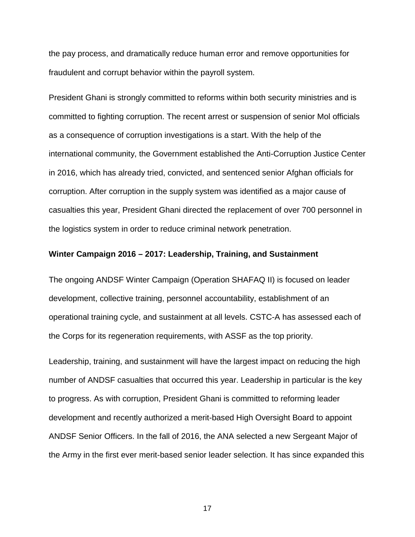the pay process, and dramatically reduce human error and remove opportunities for fraudulent and corrupt behavior within the payroll system.

President Ghani is strongly committed to reforms within both security ministries and is committed to fighting corruption. The recent arrest or suspension of senior Mol officials as a consequence of corruption investigations is a start. With the help of the international community, the Government established the Anti-Corruption Justice Center in 2016, which has already tried, convicted, and sentenced senior Afghan officials for corruption. After corruption in the supply system was identified as a major cause of casualties this year, President Ghani directed the replacement of over 700 personnel in the logistics system in order to reduce criminal network penetration.

#### <span id="page-18-0"></span>**Winter Campaign 2016 – 2017: Leadership, Training, and Sustainment**

The ongoing ANDSF Winter Campaign (Operation SHAFAQ II) is focused on leader development, collective training, personnel accountability, establishment of an operational training cycle, and sustainment at all levels. CSTC-A has assessed each of the Corps for its regeneration requirements, with ASSF as the top priority.

Leadership, training, and sustainment will have the largest impact on reducing the high number of ANDSF casualties that occurred this year. Leadership in particular is the key to progress. As with corruption, President Ghani is committed to reforming leader development and recently authorized a merit-based High Oversight Board to appoint ANDSF Senior Officers. In the fall of 2016, the ANA selected a new Sergeant Major of the Army in the first ever merit-based senior leader selection. It has since expanded this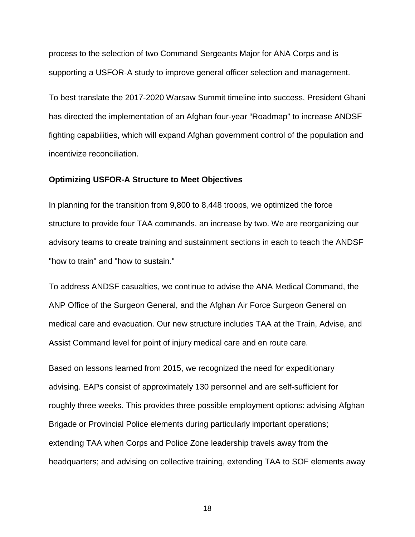process to the selection of two Command Sergeants Major for ANA Corps and is supporting a USFOR-A study to improve general officer selection and management.

To best translate the 2017-2020 Warsaw Summit timeline into success, President Ghani has directed the implementation of an Afghan four-year "Roadmap" to increase ANDSF fighting capabilities, which will expand Afghan government control of the population and incentivize reconciliation.

## <span id="page-19-0"></span>**Optimizing USFOR-A Structure to Meet Objectives**

In planning for the transition from 9,800 to 8,448 troops, we optimized the force structure to provide four TAA commands, an increase by two. We are reorganizing our advisory teams to create training and sustainment sections in each to teach the ANDSF "how to train" and "how to sustain."

To address ANDSF casualties, we continue to advise the ANA Medical Command, the ANP Office of the Surgeon General, and the Afghan Air Force Surgeon General on medical care and evacuation. Our new structure includes TAA at the Train, Advise, and Assist Command level for point of injury medical care and en route care.

Based on lessons learned from 2015, we recognized the need for expeditionary advising. EAPs consist of approximately 130 personnel and are self-sufficient for roughly three weeks. This provides three possible employment options: advising Afghan Brigade or Provincial Police elements during particularly important operations; extending TAA when Corps and Police Zone leadership travels away from the headquarters; and advising on collective training, extending TAA to SOF elements away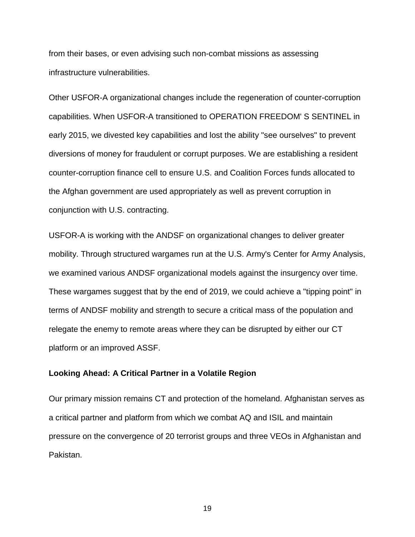from their bases, or even advising such non-combat missions as assessing infrastructure vulnerabilities.

Other USFOR-A organizational changes include the regeneration of counter-corruption capabilities. When USFOR-A transitioned to OPERATION FREEDOM' S SENTINEL in early 2015, we divested key capabilities and lost the ability "see ourselves" to prevent diversions of money for fraudulent or corrupt purposes. We are establishing a resident counter-corruption finance cell to ensure U.S. and Coalition Forces funds allocated to the Afghan government are used appropriately as well as prevent corruption in conjunction with U.S. contracting.

USFOR-A is working with the ANDSF on organizational changes to deliver greater mobility. Through structured wargames run at the U.S. Army's Center for Army Analysis, we examined various ANDSF organizational models against the insurgency over time. These wargames suggest that by the end of 2019, we could achieve a "tipping point" in terms of ANDSF mobility and strength to secure a critical mass of the population and relegate the enemy to remote areas where they can be disrupted by either our CT platform or an improved ASSF.

## <span id="page-20-0"></span>**Looking Ahead: A Critical Partner in a Volatile Region**

Our primary mission remains CT and protection of the homeland. Afghanistan serves as a critical partner and platform from which we combat AQ and ISIL and maintain pressure on the convergence of 20 terrorist groups and three VEOs in Afghanistan and Pakistan.